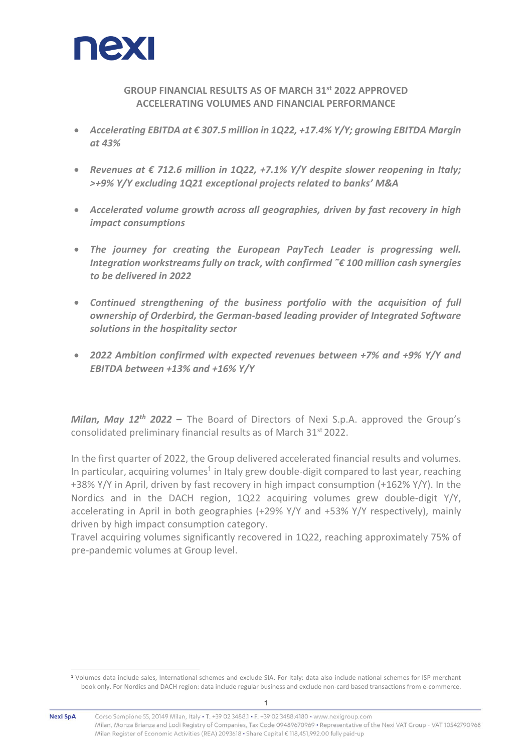

# **GROUP FINANCIAL RESULTS AS OF MARCH 31 st 2022 APPROVED ACCELERATING VOLUMES AND FINANCIAL PERFORMANCE**

- *Accelerating EBITDA at € 307.5 million in 1Q22, +17.4% Y/Y; growing EBITDA Margin at 43%*
- *Revenues at € 712.6 million in 1Q22, +7.1% Y/Y despite slower reopening in Italy; >+9% Y/Y excluding 1Q21 exceptional projects related to banks' M&A*
- *Accelerated volume growth across all geographies, driven by fast recovery in high impact consumptions*
- *The journey for creating the European PayTech Leader is progressing well. Integration workstreams fully on track, with confirmed ˜€ 100 million cash synergies to be delivered in 2022*
- *Continued strengthening of the business portfolio with the acquisition of full ownership of Orderbird, the German-based leading provider of Integrated Software solutions in the hospitality sector*
- *2022 Ambition confirmed with expected revenues between +7% and +9% Y/Y and EBITDA between +13% and +16% Y/Y*

*Milan, May 12 th 2022 –* The Board of Directors of Nexi S.p.A. approved the Group's consolidated preliminary financial results as of March 31<sup>st</sup> 2022.

In the first quarter of 2022, the Group delivered accelerated financial results and volumes. In particular, acquiring volumes<sup>1</sup> in Italy grew double-digit compared to last year, reaching +38% Y/Y in April, driven by fast recovery in high impact consumption (+162% Y/Y). In the Nordics and in the DACH region, 1Q22 acquiring volumes grew double-digit Y/Y, accelerating in April in both geographies (+29% Y/Y and +53% Y/Y respectively), mainly driven by high impact consumption category.

Travel acquiring volumes significantly recovered in 1Q22, reaching approximately 75% of pre-pandemic volumes at Group level.

<sup>1</sup> Volumes data include sales, International schemes and exclude SIA. For Italy: data also include national schemes for ISP merchant book only. For Nordics and DACH region: data include regular business and exclude non-card based transactions from e-commerce.

Nexi SpA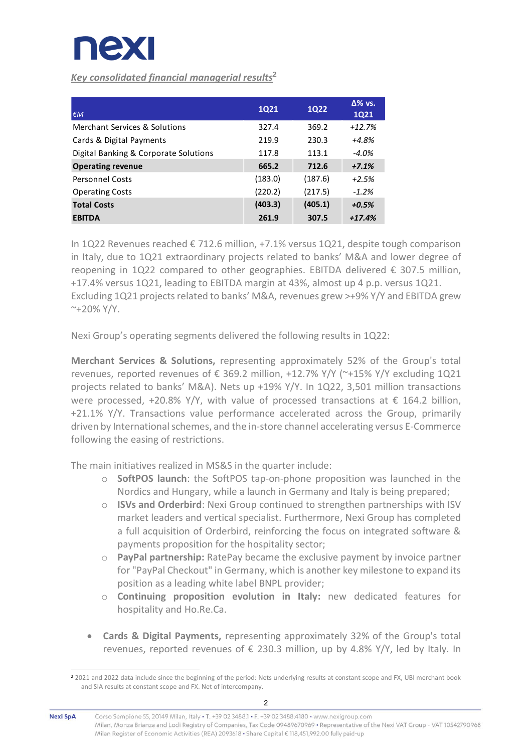

*Key consolidated financial managerial results***<sup>2</sup>**

| $\epsilon M$                          | <b>1Q21</b> | <b>1Q22</b> | $\Delta\%$ vs.<br><b>1Q21</b> |
|---------------------------------------|-------------|-------------|-------------------------------|
| Merchant Services & Solutions         | 327.4       | 369.2       | $+12.7%$                      |
| Cards & Digital Payments              | 219.9       | 230.3       | +4.8%                         |
| Digital Banking & Corporate Solutions | 117.8       | 113.1       | $-4.0\%$                      |
| <b>Operating revenue</b>              | 665.2       | 712.6       | $+7.1%$                       |
| <b>Personnel Costs</b>                | (183.0)     | (187.6)     | $+2.5%$                       |
| <b>Operating Costs</b>                | (220.2)     | (217.5)     | $-1.2%$                       |
| <b>Total Costs</b>                    | (403.3)     | (405.1)     | $+0.5%$                       |
| <b>EBITDA</b>                         | 261.9       | 307.5       | $+17.4%$                      |

In 1Q22 Revenues reached € 712.6 million, +7.1% versus 1Q21, despite tough comparison in Italy, due to 1Q21 extraordinary projects related to banks' M&A and lower degree of reopening in 1Q22 compared to other geographies. EBITDA delivered  $\epsilon$  307.5 million. +17.4% versus 1Q21, leading to EBITDA margin at 43%, almost up 4 p.p. versus 1Q21. Excluding 1Q21 projects related to banks' M&A, revenues grew >+9% Y/Y and EBITDA grew  $~^{\sim}+20\%$  Y/Y.

Nexi Group's operating segments delivered the following results in 1Q22:

**Merchant Services & Solutions,** representing approximately 52% of the Group's total revenues, reported revenues of € 369.2 million, +12.7% Y/Y (~+15% Y/Y excluding 1Q21 projects related to banks' M&A). Nets up +19% Y/Y. In 1Q22, 3,501 million transactions were processed, +20.8% Y/Y, with value of processed transactions at  $\epsilon$  164.2 billion, +21.1% Y/Y. Transactions value performance accelerated across the Group, primarily driven by International schemes, and the in-store channel accelerating versus E-Commerce following the easing of restrictions.

The main initiatives realized in MS&S in the quarter include:

- o **SoftPOS launch**: the SoftPOS tap-on-phone proposition was launched in the Nordics and Hungary, while a launch in Germany and Italy is being prepared;
- o **ISVs and Orderbird**: Nexi Group continued to strengthen partnerships with ISV market leaders and vertical specialist. Furthermore, Nexi Group has completed a full acquisition of Orderbird, reinforcing the focus on integrated software & payments proposition for the hospitality sector;
- o **PayPal partnership:** RatePay became the exclusive payment by invoice partner for "PayPal Checkout" in Germany, which is another key milestone to expand its position as a leading white label BNPL provider;
- o **Continuing proposition evolution in Italy:** new dedicated features for hospitality and Ho.Re.Ca.
- **Cards & Digital Payments,** representing approximately 32% of the Group's total revenues, reported revenues of  $\epsilon$  230.3 million, up by 4.8% Y/Y, led by Italy. In

<sup>2</sup> 2021 and 2022 data include since the beginning of the period: Nets underlying results at constant scope and FX, UBI merchant book and SIA results at constant scope and FX. Net of intercompany.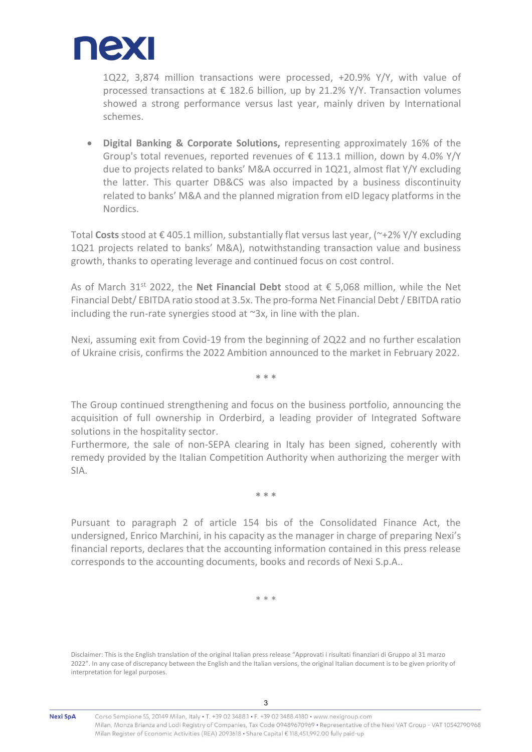

1Q22, 3,874 million transactions were processed, +20.9% Y/Y, with value of processed transactions at  $\epsilon$  182.6 billion, up by 21.2% Y/Y. Transaction volumes showed a strong performance versus last year, mainly driven by International schemes.

• **Digital Banking & Corporate Solutions,** representing approximately 16% of the Group's total revenues, reported revenues of  $\epsilon$  113.1 million, down by 4.0% Y/Y due to projects related to banks' M&A occurred in 1Q21, almost flat Y/Y excluding the latter. This quarter DB&CS was also impacted by a business discontinuity related to banks' M&A and the planned migration from eID legacy platforms in the Nordics.

Total **Costs** stood at € 405.1 million, substantially flat versus last year, (~+2% Y/Y excluding 1Q21 projects related to banks' M&A), notwithstanding transaction value and business growth, thanks to operating leverage and continued focus on cost control.

As of March 31st 2022, the **Net Financial Debt** stood at € 5,068 million, while the Net Financial Debt/ EBITDA ratio stood at 3.5x. The pro-forma Net Financial Debt/ EBITDA ratio including the run-rate synergies stood at  $\sim$ 3x, in line with the plan.

Nexi, assuming exit from Covid-19 from the beginning of 2Q22 and no further escalation of Ukraine crisis, confirms the 2022 Ambition announced to the market in February 2022.

**\* \* \***

The Group continued strengthening and focus on the business portfolio, announcing the acquisition of full ownership in Orderbird, a leading provider of Integrated Software solutions in the hospitality sector.

Furthermore, the sale of non-SEPA clearing in Italy has been signed, coherently with remedy provided by the Italian Competition Authority when authorizing the merger with SIA.

**\* \* \***

Pursuant to paragraph 2 of article 154 bis of the Consolidated Finance Act, the undersigned, Enrico Marchini, in his capacity as the manager in charge of preparing Nexi's financial reports, declares that the accounting information contained in this press release corresponds to the accounting documents, books and records of Nexi S.p.A..

\* \* \*

Disclaimer: This is the English translation of the original Italian press release "Approvati i risultati finanziari di Gruppo al 31 marzo 2022". In any case of discrepancy between the English and the Italian versions, the original Italian document is to be given priority of interpretation for legal purposes.